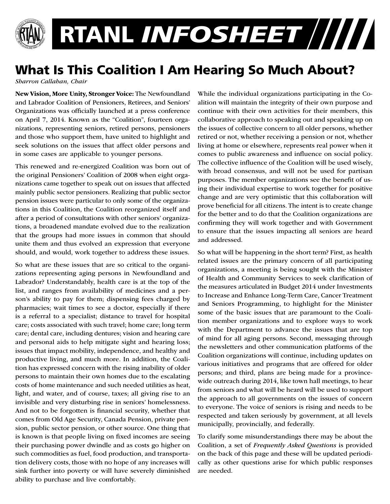

## What Is This Coalition I Am Hearing So Much About?

*Sharron Callahan, Chair*

New Vision, More Unity, Stronger Voice: The Newfoundland and Labrador Coalition of Pensioners, Retirees, and Seniors' Organizations was officially launched at a press conference on April 7, 2014. Known as the "Coalition", fourteen organizations, representing seniors, retired persons, pensioners and those who support them, have united to highlight and seek solutions on the issues that affect older persons and in some cases are applicable to younger persons.

This renewed and re-energized Coalition was born out of the original Pensioners' Coalition of 2008 when eight organizations came together to speak out on issues that affected mainly public sector pensioners. Realizing that public sector pension issues were particular to only some of the organizations in this Coalition, the Coalition reorganized itself and after a period of consultations with other seniors' organizations, a broadened mandate evolved due to the realization that the groups had more issues in common that should unite them and thus evolved an expression that everyone should, and would, work together to address these issues.

So what are these issues that are so critical to the organizations representing aging persons in Newfoundland and Labrador? Understandably, health care is at the top of the list, and ranges from availability of medicines and a person's ability to pay for them; dispensing fees charged by pharmacies; wait times to see a doctor, especially if there is a referral to a specialist; distance to travel for hospital care; costs associated with such travel; home care; long term care; dental care, including dentures; vision and hearing care and personal aids to help mitigate sight and hearing loss; issues that impact mobility, independence, and healthy and productive living, and much more. In addition, the Coalition has expressed concern with the rising inability of older persons to maintain their own homes due to the escalating costs of home maintenance and such needed utilities as heat, light, and water, and of course, taxes; all giving rise to an invisible and very disturbing rise in seniors' homelessness. And not to be forgotten is financial security, whether that comes from Old Age Security, Canada Pension, private pension, public sector pension, or other source. One thing that is known is that people living on fixed incomes are seeing their purchasing power dwindle and as costs go higher on such commodities as fuel, food production, and transportation delivery costs, those with no hope of any increases will sink further into poverty or will have severely diminished ability to purchase and live comfortably.

While the individual organizations participating in the Coalition will maintain the integrity of their own purpose and continue with their own activities for their members, this collaborative approach to speaking out and speaking up on the issues of collective concern to all older persons, whether retired or not, whether receiving a pension or not, whether living at home or elsewhere, represents real power when it comes to public awareness and influence on social policy. The collective influence of the Coalition will be used wisely, with broad consensus, and will not be used for partisan purposes. The member organizations see the benefit of using their individual expertise to work together for positive change and are very optimistic that this collaboration will prove beneficial for all citizens. The intent is to create change for the better and to do that the Coalition organizations are confirming they will work together and with Government to ensure that the issues impacting all seniors are heard and addressed.

So what will be happening in the short term? First, as health related issues are the primary concern of all participating organizations, a meeting is being sought with the Minister of Health and Community Services to seek clarification of the measures articulated in Budget 2014 under Investments to Increase and Enhance Long-Term Care, Cancer Treatment and Seniors Programming, to highlight for the Minister some of the basic issues that are paramount to the Coalition member organizations and to explore ways to work with the Department to advance the issues that are top of mind for all aging persons. Second, messaging through the newsletters and other communication platforms of the Coalition organizations will continue, including updates on various initiatives and programs that are offered for older persons; and third, plans are being made for a provincewide outreach during 2014, like town hall meetings, to hear from seniors and what will be heard will be used to support the approach to all governments on the issues of concern to everyone. The voice of seniors is rising and needs to be respected and taken seriously by government, at all levels municipally, provincially, and federally.

To clarify some misunderstandings there may be about the Coalition, a set of *Frequently Asked Questions* is provided on the back of this page and these will be updated periodically as other questions arise for which public responses are needed.